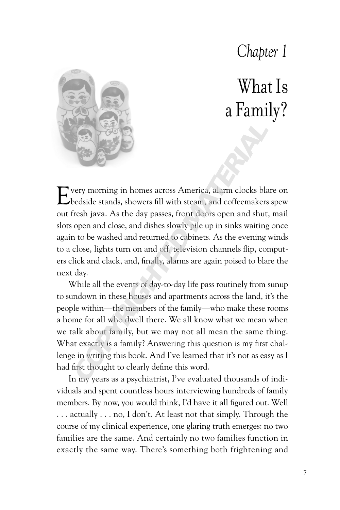

# What Is a Family? *Chapter 1*

Every morning in homes across America, alarm clocks blare on bedside stands, showers fill with steam, and coffeemakers spew out fresh java. As the day passes, front doors open and shut, mail slots open and close, and dishes slowly pile up in sinks waiting once again to be washed and returned to cabinets. As the evening winds to a close, lights turn on and off, television channels flip, computers click and clack, and, finally, alarms are again poised to blare the next day. **COPY COPY CONTROLLED CONTROLLED SERVED SERVED SERVED SERVED SERVED SERVED SERVED SERVED SERVED SERVED SERVED SERVED SERVED SERVED SERVED SERVED SERVED SERVED SERVED SERVED SERVED SERVED SERVED SERVED SERVED SERVED SERVED** 

While all the events of day-to-day life pass routinely from sunup to sundown in these houses and apartments across the land, it's the people within—the members of the family—who make these rooms a home for all who dwell there. We all know what we mean when we talk about family, but we may not all mean the same thing. What exactly is a family? Answering this question is my first challenge in writing this book. And I've learned that it's not as easy as I had first thought to clearly define this word.

In my years as a psychiatrist, I've evaluated thousands of individuals and spent countless hours interviewing hundreds of family members. By now, you would think, I'd have it all figured out. Well . . . actually . . . no, I don't. At least not that simply. Through the course of my clinical experience, one glaring truth emerges: no two families are the same. And certainly no two families function in exactly the same way. There's something both frightening and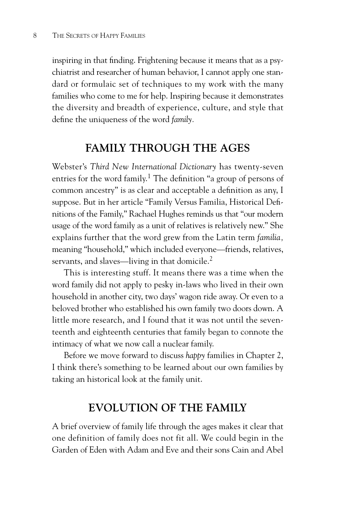inspiring in that finding. Frightening because it means that as a psychiatrist and researcher of human behavior, I cannot apply one standard or formulaic set of techniques to my work with the many families who come to me for help. Inspiring because it demonstrates the diversity and breadth of experience, culture, and style that define the uniqueness of the word *family.*

#### **FAMILY THROUGH THE AGES**

Webster's *Third New International Dictionary* has twenty-seven entries for the word family.<sup>1</sup> The definition "a group of persons of common ancestry" is as clear and acceptable a definition as any, I suppose. But in her article "Family Versus Familia, Historical Definitions of the Family," Rachael Hughes reminds us that "our modern usage of the word family as a unit of relatives is relatively new." She explains further that the word grew from the Latin term *familia,* meaning "household," which included everyone—friends, relatives, servants, and slaves—living in that domicile.<sup>2</sup>

This is interesting stuff. It means there was a time when the word family did not apply to pesky in-laws who lived in their own household in another city, two days' wagon ride away. Or even to a beloved brother who established his own family two doors down. A little more research, and I found that it was not until the seventeenth and eighteenth centuries that family began to connote the intimacy of what we now call a nuclear family.

Before we move forward to discuss *happy* families in Chapter 2, I think there's something to be learned about our own families by taking an historical look at the family unit.

#### **EVOLUTION OF THE FAMILY**

A brief overview of family life through the ages makes it clear that one definition of family does not fit all. We could begin in the Garden of Eden with Adam and Eve and their sons Cain and Abel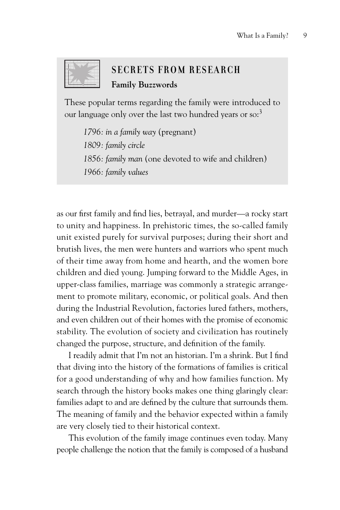

# **SECRETS FROM RESEARCH Family Buzzwords**

These popular terms regarding the family were introduced to our language only over the last two hundred years or so:<sup>3</sup>

*1796: in a family way* (pregnant) *1809: family circle 1856: family man* (one devoted to wife and children) *1966: family values*

as our first family and find lies, betrayal, and murder—a rocky start to unity and happiness. In prehistoric times, the so-called family unit existed purely for survival purposes; during their short and brutish lives, the men were hunters and warriors who spent much of their time away from home and hearth, and the women bore children and died young. Jumping forward to the Middle Ages, in upper-class families, marriage was commonly a strategic arrangement to promote military, economic, or political goals. And then during the Industrial Revolution, factories lured fathers, mothers, and even children out of their homes with the promise of economic stability. The evolution of society and civilization has routinely changed the purpose, structure, and definition of the family.

I readily admit that I'm not an historian. I'm a shrink. But I find that diving into the history of the formations of families is critical for a good understanding of why and how families function. My search through the history books makes one thing glaringly clear: families adapt to and are defined by the culture that surrounds them. The meaning of family and the behavior expected within a family are very closely tied to their historical context.

This evolution of the family image continues even today. Many people challenge the notion that the family is composed of a husband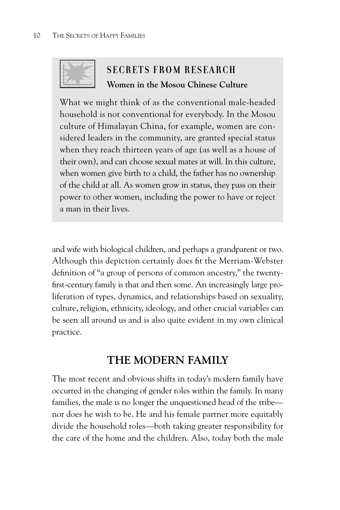

# **SECRETS FROM RESEARCH Women in the Mosou Chinese Culture**

What we might think of as the conventional male-headed household is not conventional for everybody. In the Mosou culture of Himalayan China, for example, women are considered leaders in the community, are granted special status when they reach thirteen years of age (as well as a house of their own), and can choose sexual mates at will. In this culture, when women give birth to a child, the father has no ownership of the child at all. As women grow in status, they pass on their power to other women, including the power to have or reject a man in their lives.

and wife with biological children, and perhaps a grandparent or two. Although this depiction certainly does fit the Merriam-Webster definition of "a group of persons of common ancestry," the twentyfirst-century family is that and then some. An increasingly large proliferation of types, dynamics, and relationships based on sexuality, culture, religion, ethnicity, ideology, and other crucial variables can be seen all around us and is also quite evident in my own clinical practice.

# **THE MODERN FAMILY**

The most recent and obvious shifts in today's modern family have occurred in the changing of gender roles within the family. In many families, the male is no longer the unquestioned head of the tribe nor does he wish to be. He and his female partner more equitably divide the household roles—both taking greater responsibility for the care of the home and the children. Also, today both the male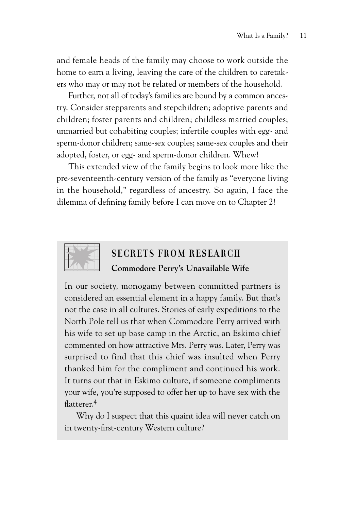and female heads of the family may choose to work outside the home to earn a living, leaving the care of the children to caretakers who may or may not be related or members of the household.

Further, not all of today's families are bound by a common ancestry. Consider stepparents and stepchildren; adoptive parents and children; foster parents and children; childless married couples; unmarried but cohabiting couples; infertile couples with egg- and sperm-donor children; same-sex couples; same-sex couples and their adopted, foster, or egg- and sperm-donor children. Whew!

This extended view of the family begins to look more like the pre-seventeenth-century version of the family as "everyone living in the household," regardless of ancestry. So again, I face the dilemma of defining family before I can move on to Chapter 2!



## **SECRETS FROM RESEARCH Commodore Perry's Unavailable Wife**

In our society, monogamy between committed partners is considered an essential element in a happy family. But that's not the case in all cultures. Stories of early expeditions to the North Pole tell us that when Commodore Perry arrived with his wife to set up base camp in the Arctic, an Eskimo chief commented on how attractive Mrs. Perry was. Later, Perry was surprised to find that this chief was insulted when Perry thanked him for the compliment and continued his work. It turns out that in Eskimo culture, if someone compliments your wife, you're supposed to offer her up to have sex with the flatterer.<sup>4</sup>

Why do I suspect that this quaint idea will never catch on in twenty-first-century Western culture?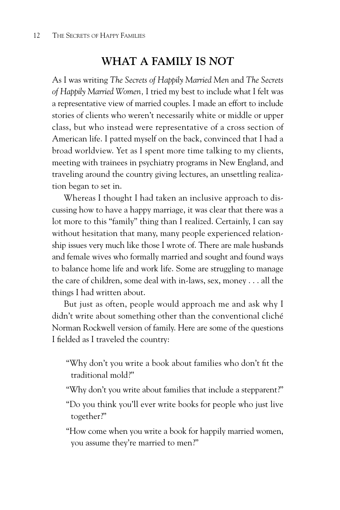# **WHAT A FAMILY IS** *NOT*

As I was writing *The Secrets of Happily Married Men* and *The Secrets of Happily Married Women,* I tried my best to include what I felt was a representative view of married couples. I made an effort to include stories of clients who weren't necessarily white or middle or upper class, but who instead were representative of a cross section of American life. I patted myself on the back, convinced that I had a broad worldview. Yet as I spent more time talking to my clients, meeting with trainees in psychiatry programs in New England, and traveling around the country giving lectures, an unsettling realization began to set in.

Whereas I thought I had taken an inclusive approach to discussing how to have a happy marriage, it was clear that there was a lot more to this "family" thing than I realized. Certainly, I can say without hesitation that many, many people experienced relationship issues very much like those I wrote of. There are male husbands and female wives who formally married and sought and found ways to balance home life and work life. Some are struggling to manage the care of children, some deal with in-laws, sex, money . . . all the things I had written about.

But just as often, people would approach me and ask why I didn't write about something other than the conventional cliché Norman Rockwell version of family. Here are some of the questions I fielded as I traveled the country:

- "Why don't you write a book about families who don't fit the traditional mold?"
- "Why don't you write about families that include a stepparent?"
- "Do you think you'll ever write books for people who just live together?"

"How come when you write a book for happily married women, you assume they're married to men?"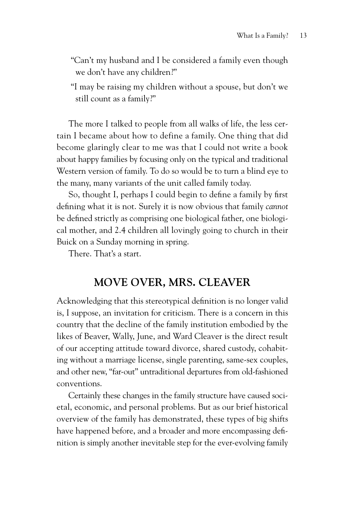- "Can't my husband and I be considered a family even though we don't have any children?"
- "I may be raising my children without a spouse, but don't we still count as a family?"

The more I talked to people from all walks of life, the less certain I became about how to define a family. One thing that did become glaringly clear to me was that I could not write a book about happy families by focusing only on the typical and traditional Western version of family. To do so would be to turn a blind eye to the many, many variants of the unit called family today.

So, thought I, perhaps I could begin to define a family by first defining what it is not. Surely it is now obvious that family *cannot* be defined strictly as comprising one biological father, one biological mother, and 2.4 children all lovingly going to church in their Buick on a Sunday morning in spring.

There. That's a start.

#### **MOVE OVER, MRS. CLEAVER**

Acknowledging that this stereotypical definition is no longer valid is, I suppose, an invitation for criticism. There is a concern in this country that the decline of the family institution embodied by the likes of Beaver, Wally, June, and Ward Cleaver is the direct result of our accepting attitude toward divorce, shared custody, cohabiting without a marriage license, single parenting, same-sex couples, and other new, "far-out" untraditional departures from old-fashioned conventions.

Certainly these changes in the family structure have caused societal, economic, and personal problems. But as our brief historical overview of the family has demonstrated, these types of big shifts have happened before, and a broader and more encompassing definition is simply another inevitable step for the ever-evolving family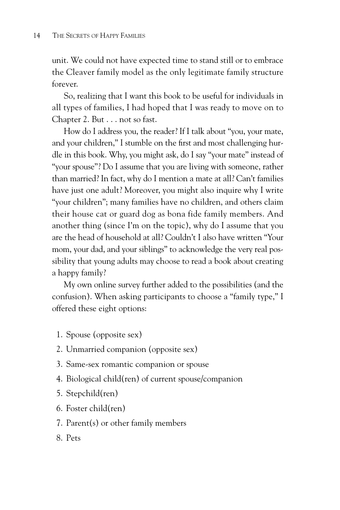unit. We could not have expected time to stand still or to embrace the Cleaver family model as the only legitimate family structure forever.

So, realizing that I want this book to be useful for individuals in all types of families, I had hoped that I was ready to move on to Chapter 2. But . . . not so fast.

How do I address you, the reader? If I talk about "you, your mate, and your children," I stumble on the first and most challenging hurdle in this book. Why, you might ask, do I say "your mate" instead of "your spouse"? Do I assume that you are living with someone, rather than married? In fact, why do I mention a mate at all? Can't families have just one adult? Moreover, you might also inquire why I write "your children"; many families have no children, and others claim their house cat or guard dog as bona fide family members. And another thing (since I'm on the topic), why do I assume that you are the head of household at all? Couldn't I also have written "Your mom, your dad, and your siblings" to acknowledge the very real possibility that young adults may choose to read a book about creating a happy family?

My own online survey further added to the possibilities (and the confusion). When asking participants to choose a "family type," I offered these eight options:

- 1. Spouse (opposite sex)
- 2. Unmarried companion (opposite sex)
- 3. Same-sex romantic companion or spouse
- 4. Biological child(ren) of current spouse/companion
- 5. Stepchild(ren)
- 6. Foster child(ren)
- 7. Parent(s) or other family members
- 8. Pets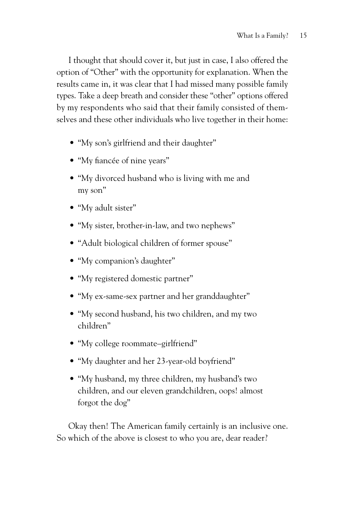I thought that should cover it, but just in case, I also offered the option of "Other" with the opportunity for explanation. When the results came in, it was clear that I had missed many possible family types. Take a deep breath and consider these "other" options offered by my respondents who said that their family consisted of themselves and these other individuals who live together in their home:

- "My son's girlfriend and their daughter"
- "My fiancée of nine years"
- "My divorced husband who is living with me and my son"
- "My adult sister"
- "My sister, brother-in-law, and two nephews"
- "Adult biological children of former spouse"
- "My companion's daughter"
- "My registered domestic partner"
- "My ex-same-sex partner and her granddaughter"
- "My second husband, his two children, and my two children"
- "My college roommate–girlfriend"
- "My daughter and her 23-year-old boyfriend"
- "My husband, my three children, my husband's two children, and our eleven grandchildren, oops! almost forgot the dog"

Okay then! The American family certainly is an inclusive one. So which of the above is closest to who you are, dear reader?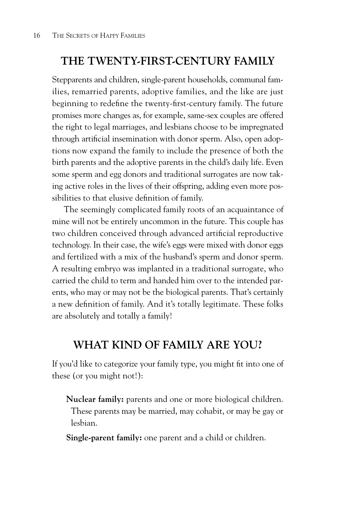## **THE TWENTY-FIRST-CENTURY FAMILY**

Stepparents and children, single-parent households, communal families, remarried parents, adoptive families, and the like are just beginning to redefine the twenty-first-century family. The future promises more changes as, for example, same-sex couples are offered the right to legal marriages, and lesbians choose to be impregnated through artificial insemination with donor sperm. Also, open adoptions now expand the family to include the presence of both the birth parents and the adoptive parents in the child's daily life. Even some sperm and egg donors and traditional surrogates are now taking active roles in the lives of their offspring, adding even more possibilities to that elusive definition of family.

The seemingly complicated family roots of an acquaintance of mine will not be entirely uncommon in the future. This couple has two children conceived through advanced artificial reproductive technology. In their case, the wife's eggs were mixed with donor eggs and fertilized with a mix of the husband's sperm and donor sperm. A resulting embryo was implanted in a traditional surrogate, who carried the child to term and handed him over to the intended parents, who may or may not be the biological parents. That's certainly a new definition of family. And it's totally legitimate. These folks are absolutely and totally a family!

#### **WHAT KIND OF FAMILY ARE YOU?**

If you'd like to categorize your family type, you might fit into one of these (or you might not!):

**Nuclear family:** parents and one or more biological children. These parents may be married, may cohabit, or may be gay or lesbian.

**Single-parent family:** one parent and a child or children.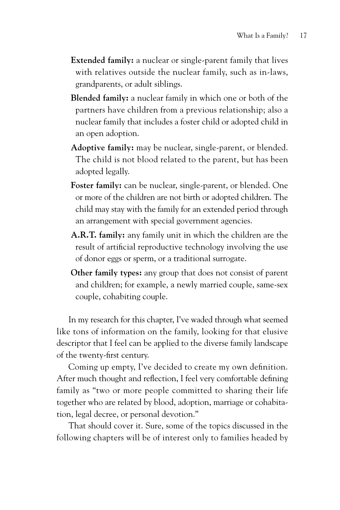- **Extended family:** a nuclear or single-parent family that lives with relatives outside the nuclear family, such as in-laws, grandparents, or adult siblings.
- **Blended family:** a nuclear family in which one or both of the partners have children from a previous relationship; also a nuclear family that includes a foster child or adopted child in an open adoption.
- **Adoptive family:** may be nuclear, single-parent, or blended. The child is not blood related to the parent, but has been adopted legally.
- **Foster family:** can be nuclear, single-parent, or blended. One or more of the children are not birth or adopted children. The child may stay with the family for an extended period through an arrangement with special government agencies.
- **A.R.T. family:** any family unit in which the children are the result of artificial reproductive technology involving the use of donor eggs or sperm, or a traditional surrogate.
- **Other family types:** any group that does not consist of parent and children; for example, a newly married couple, same-sex couple, cohabiting couple.

In my research for this chapter, I've waded through what seemed like tons of information on the family, looking for that elusive descriptor that I feel can be applied to the diverse family landscape of the twenty-first century.

Coming up empty, I've decided to create my own definition. After much thought and reflection, I feel very comfortable defining family as "two or more people committed to sharing their life together who are related by blood, adoption, marriage or cohabitation, legal decree, or personal devotion."

That should cover it. Sure, some of the topics discussed in the following chapters will be of interest only to families headed by